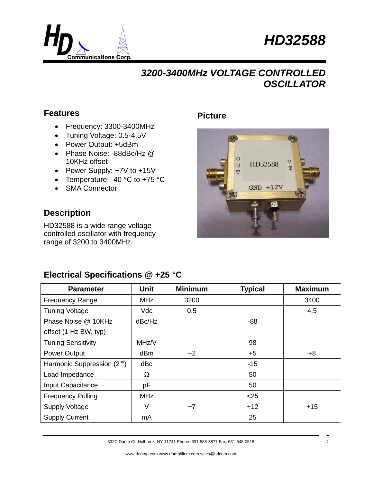



### **Features**

- Frequency: 3300-3400MHz
- Tuning Voltage: 0.5-4.5V
- Power Output: +5dBm
- Phase Noise: -88dBc/Hz @ 10KHz offset
- Power Supply: +7V to +15V
- Temperature: -40 °C to +75 °C
- SMA Connector

#### **Description**

HD32588 is a wide range voltage controlled oscillator with frequency range of 3200 to 3400MHz.

### **Picture**



### **Electrical Specifications @ +25 °C**

| <b>Parameter</b>                        | <b>Unit</b> | <b>Minimum</b> | <b>Typical</b> | <b>Maximum</b> |
|-----------------------------------------|-------------|----------------|----------------|----------------|
| <b>Frequency Range</b>                  | <b>MHz</b>  | 3200           |                | 3400           |
| <b>Tuning Voltage</b>                   | <b>Vdc</b>  | 0.5            |                | 4.5            |
| Phase Noise @ 10KHz                     | dBc/Hz      |                | $-88$          |                |
| offset (1 Hz BW, typ)                   |             |                |                |                |
| <b>Tuning Sensitivity</b>               | MHz/V       |                | 98             |                |
| <b>Power Output</b>                     | dBm         | $+2$           | $+5$           | $+8$           |
| Harmonic Suppression (2 <sup>nd</sup> ) | dBc         |                | $-15$          |                |
| Load Impedance                          | Ω           |                | 50             |                |
| Input Capacitance                       | pF          |                | 50             |                |
| <b>Frequency Pulling</b>                | <b>MHz</b>  |                | $<$ 25         |                |
| <b>Supply Voltage</b>                   | $\vee$      | $+7$           | $+12$          | $+15$          |
| <b>Supply Current</b>                   | mA          |                | 25             |                |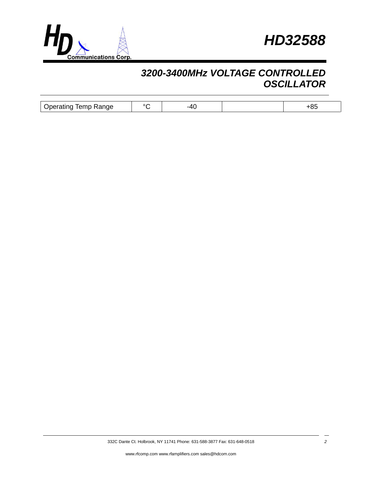



| ., |  |  |
|----|--|--|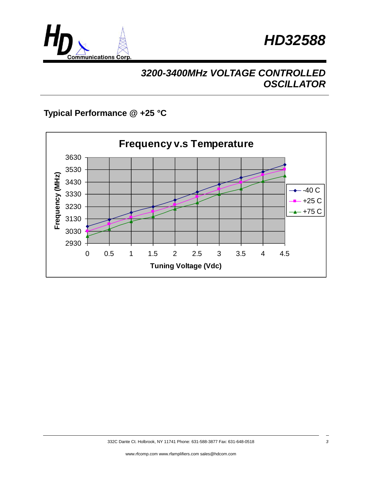



### **Typical Performance @ +25 °C**

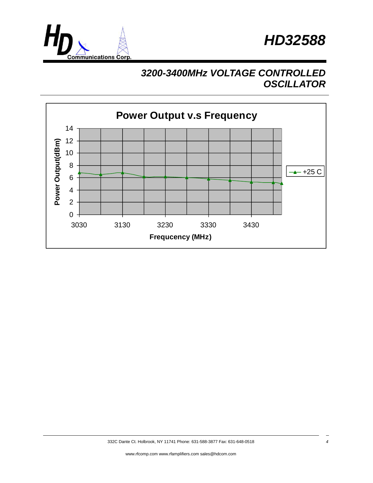